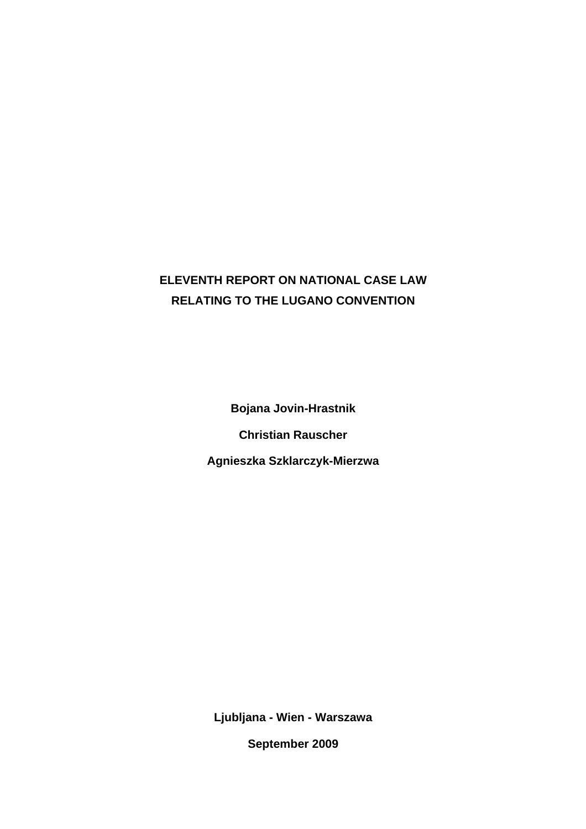# **ELEVENTH REPORT ON NATIONAL CASE LAW RELATING TO THE LUGANO CONVENTION**

**Bojana Jovin-Hrastnik Christian Rauscher Agnieszka Szklarczyk-Mierzwa** 

**Ljubljana - Wien - Warszawa** 

**September 2009**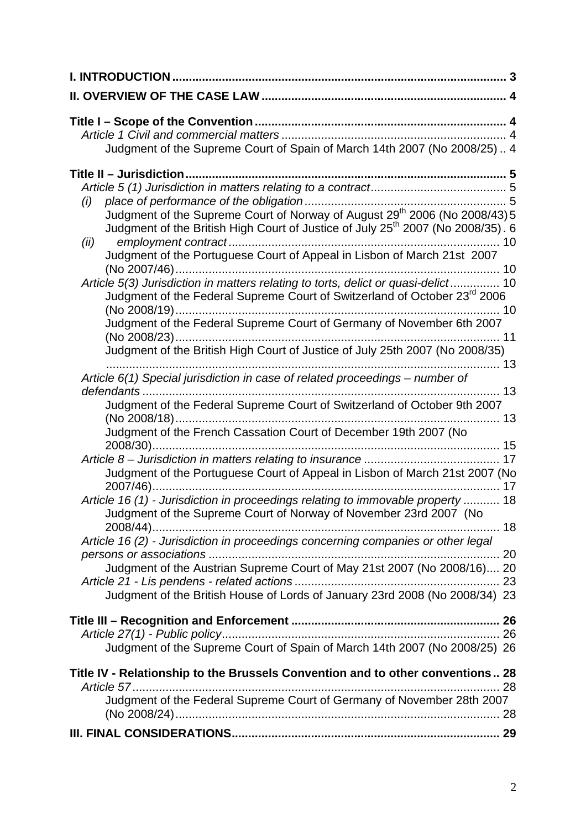| Judgment of the Supreme Court of Spain of March 14th 2007 (No 2008/25) 4                                                                                                                                                                                                                                                                                                                                                                                                                      |  |
|-----------------------------------------------------------------------------------------------------------------------------------------------------------------------------------------------------------------------------------------------------------------------------------------------------------------------------------------------------------------------------------------------------------------------------------------------------------------------------------------------|--|
| (i)<br>Judgment of the Supreme Court of Norway of August 29 <sup>th</sup> 2006 (No 2008/43) 5<br>Judgment of the British High Court of Justice of July 25 <sup>th</sup> 2007 (No 2008/35). 6<br>(ii)<br>Judgment of the Portuguese Court of Appeal in Lisbon of March 21st 2007<br>Article 5(3) Jurisdiction in matters relating to torts, delict or quasi-delict 10<br>Judgment of the Federal Supreme Court of Switzerland of October 23 <sup>rd</sup> 2006                                 |  |
| Judgment of the Federal Supreme Court of Germany of November 6th 2007<br>Judgment of the British High Court of Justice of July 25th 2007 (No 2008/35)<br>Article 6(1) Special jurisdiction in case of related proceedings - number of                                                                                                                                                                                                                                                         |  |
| Judgment of the Federal Supreme Court of Switzerland of October 9th 2007<br>Judgment of the French Cassation Court of December 19th 2007 (No                                                                                                                                                                                                                                                                                                                                                  |  |
| Judgment of the Portuguese Court of Appeal in Lisbon of March 21st 2007 (No<br>Article 16 (1) - Jurisdiction in proceedings relating to immovable property  18<br>Judgment of the Supreme Court of Norway of November 23rd 2007 (No<br>2008/44)<br>Article 16 (2) - Jurisdiction in proceedings concerning companies or other legal<br>Judgment of the Austrian Supreme Court of May 21st 2007 (No 2008/16) 20<br>Judgment of the British House of Lords of January 23rd 2008 (No 2008/34) 23 |  |
| Judgment of the Supreme Court of Spain of March 14th 2007 (No 2008/25) 26                                                                                                                                                                                                                                                                                                                                                                                                                     |  |
| Title IV - Relationship to the Brussels Convention and to other conventions 28<br>Judgment of the Federal Supreme Court of Germany of November 28th 2007                                                                                                                                                                                                                                                                                                                                      |  |
|                                                                                                                                                                                                                                                                                                                                                                                                                                                                                               |  |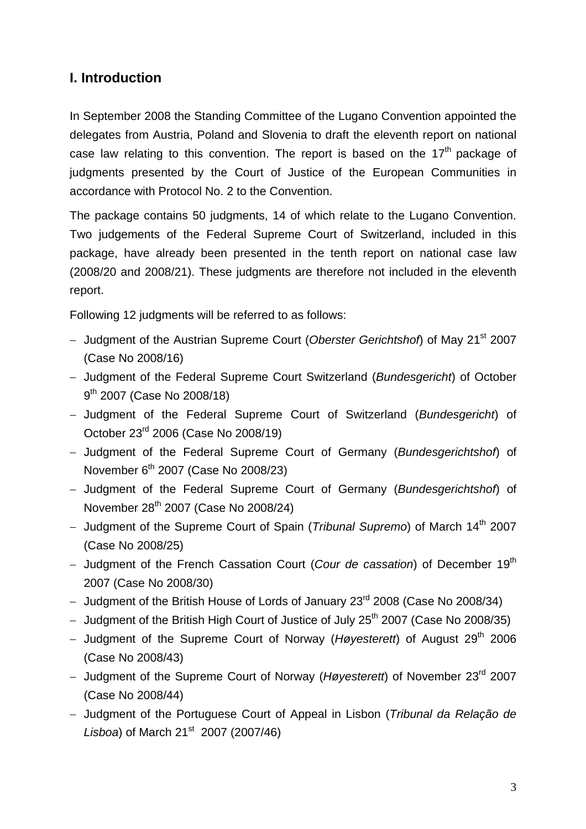## **I. Introduction**

In September 2008 the Standing Committee of the Lugano Convention appointed the delegates from Austria, Poland and Slovenia to draft the eleventh report on national case law relating to this convention. The report is based on the  $17<sup>th</sup>$  package of judgments presented by the Court of Justice of the European Communities in accordance with Protocol No. 2 to the Convention.

The package contains 50 judgments, 14 of which relate to the Lugano Convention. Two judgements of the Federal Supreme Court of Switzerland, included in this package, have already been presented in the tenth report on national case law (2008/20 and 2008/21). These judgments are therefore not included in the eleventh report.

Following 12 judgments will be referred to as follows:

- − Judgment of the Austrian Supreme Court (*Oberster Gerichtshof*) of May 21st 2007 (Case No 2008/16)
- − Judgment of the Federal Supreme Court Switzerland (*Bundesgericht*) of October 9<sup>th</sup> 2007 (Case No 2008/18)
- − Judgment of the Federal Supreme Court of Switzerland (*Bundesgericht*) of October 23rd 2006 (Case No 2008/19)
- − Judgment of the Federal Supreme Court of Germany (*Bundesgerichtshof*) of November  $6<sup>th</sup>$  2007 (Case No 2008/23)
- − Judgment of the Federal Supreme Court of Germany (*Bundesgerichtshof*) of November 28th 2007 (Case No 2008/24)
- − Judgment of the Supreme Court of Spain (*Tribunal Supremo*) of March 14th 2007 (Case No 2008/25)
- − Judgment of the French Cassation Court (*Cour de cassation*) of December 19th 2007 (Case No 2008/30)
- − Judgment of the British House of Lords of January 23rd 2008 (Case No 2008/34)
- − Judgment of the British High Court of Justice of July 25<sup>th</sup> 2007 (Case No 2008/35)
- − Judgment of the Supreme Court of Norway (*Høyesterett*) of August 29th 2006 (Case No 2008/43)
- − Judgment of the Supreme Court of Norway (*Høyesterett*) of November 23rd 2007 (Case No 2008/44)
- − Judgment of the Portuguese Court of Appeal in Lisbon (*Tribunal da Relação de Lisboa*) of March 21<sup>st</sup> 2007 (2007/46)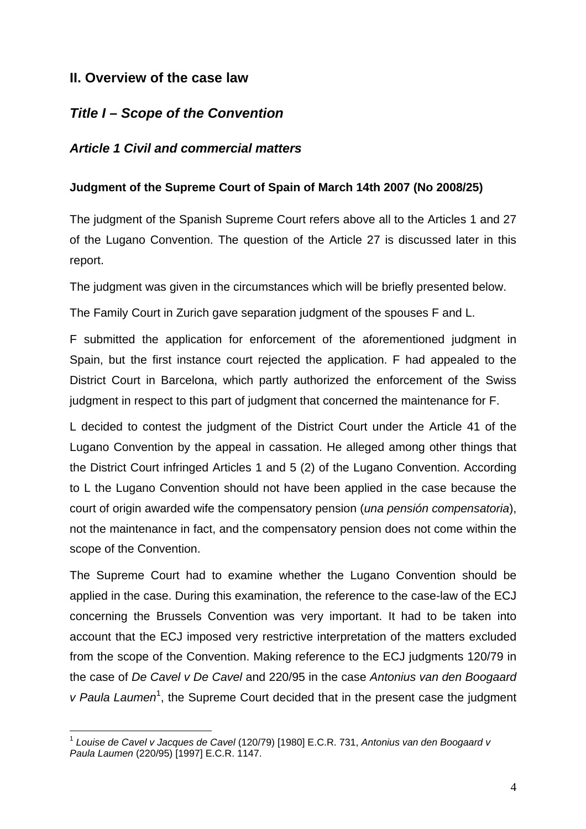## **II. Overview of the case law**

## *Title I – Scope of the Convention*

## *Article 1 Civil and commercial matters*

## **Judgment of the Supreme Court of Spain of March 14th 2007 (No 2008/25)**

The judgment of the Spanish Supreme Court refers above all to the Articles 1 and 27 of the Lugano Convention. The question of the Article 27 is discussed later in this report.

The judgment was given in the circumstances which will be briefly presented below.

The Family Court in Zurich gave separation judgment of the spouses F and L.

F submitted the application for enforcement of the aforementioned judgment in Spain, but the first instance court rejected the application. F had appealed to the District Court in Barcelona, which partly authorized the enforcement of the Swiss judgment in respect to this part of judgment that concerned the maintenance for F.

L decided to contest the judgment of the District Court under the Article 41 of the Lugano Convention by the appeal in cassation. He alleged among other things that the District Court infringed Articles 1 and 5 (2) of the Lugano Convention. According to L the Lugano Convention should not have been applied in the case because the court of origin awarded wife the compensatory pension (*una pensión compensatoria*), not the maintenance in fact, and the compensatory pension does not come within the scope of the Convention.

The Supreme Court had to examine whether the Lugano Convention should be applied in the case. During this examination, the reference to the case-law of the ECJ concerning the Brussels Convention was very important. It had to be taken into account that the ECJ imposed very restrictive interpretation of the matters excluded from the scope of the Convention. Making reference to the ECJ judgments 120/79 in the case of *De Cavel v De Cavel* and 220/95 in the case *Antonius van den Boogaard*  v Paula Laumen<sup>1</sup>, the Supreme Court decided that in the present case the judgment

<sup>1</sup> <sup>1</sup> *Louise de Cavel v Jacques de Cavel* (120/79) [1980] E.C.R. 731, *Antonius van den Boogaard v Paula Laumen* (220/95) [1997] E.C.R. 1147.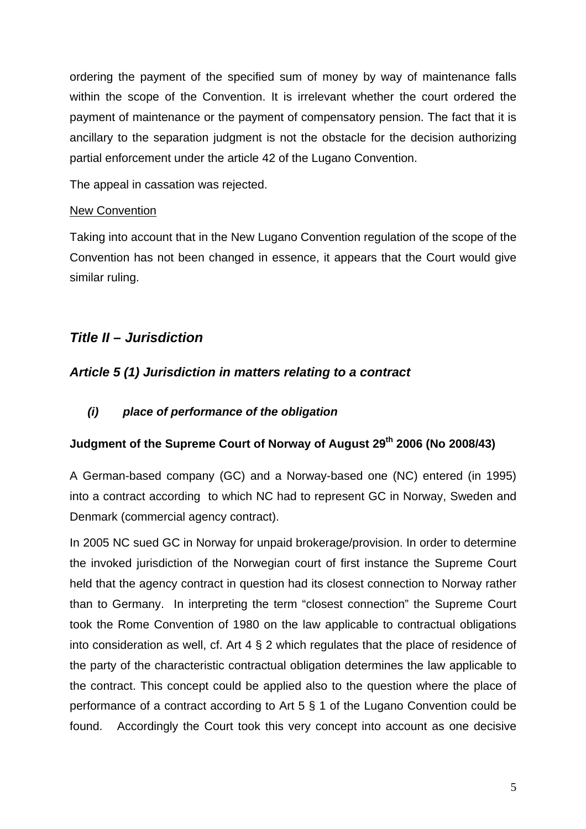ordering the payment of the specified sum of money by way of maintenance falls within the scope of the Convention. It is irrelevant whether the court ordered the payment of maintenance or the payment of compensatory pension. The fact that it is ancillary to the separation judgment is not the obstacle for the decision authorizing partial enforcement under the article 42 of the Lugano Convention.

The appeal in cassation was rejected.

## New Convention

Taking into account that in the New Lugano Convention regulation of the scope of the Convention has not been changed in essence, it appears that the Court would give similar ruling.

# *Title II – Jurisdiction*

## *Article 5 (1) Jurisdiction in matters relating to a contract*

## *(i) place of performance of the obligation*

## **Judgment of the Supreme Court of Norway of August 29th 2006 (No 2008/43)**

A German-based company (GC) and a Norway-based one (NC) entered (in 1995) into a contract according to which NC had to represent GC in Norway, Sweden and Denmark (commercial agency contract).

In 2005 NC sued GC in Norway for unpaid brokerage/provision. In order to determine the invoked jurisdiction of the Norwegian court of first instance the Supreme Court held that the agency contract in question had its closest connection to Norway rather than to Germany. In interpreting the term "closest connection" the Supreme Court took the Rome Convention of 1980 on the law applicable to contractual obligations into consideration as well, cf. Art 4 § 2 which regulates that the place of residence of the party of the characteristic contractual obligation determines the law applicable to the contract. This concept could be applied also to the question where the place of performance of a contract according to Art 5 § 1 of the Lugano Convention could be found. Accordingly the Court took this very concept into account as one decisive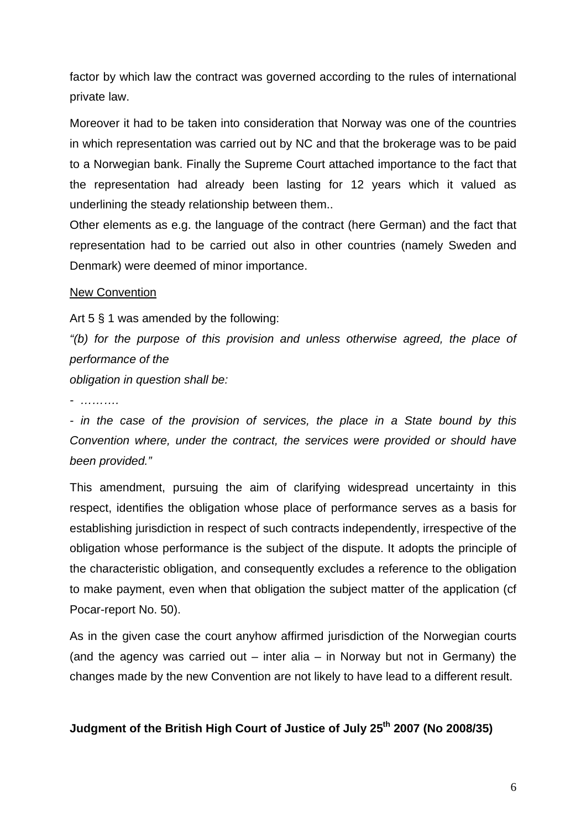factor by which law the contract was governed according to the rules of international private law.

Moreover it had to be taken into consideration that Norway was one of the countries in which representation was carried out by NC and that the brokerage was to be paid to a Norwegian bank. Finally the Supreme Court attached importance to the fact that the representation had already been lasting for 12 years which it valued as underlining the steady relationship between them..

Other elements as e.g. the language of the contract (here German) and the fact that representation had to be carried out also in other countries (namely Sweden and Denmark) were deemed of minor importance.

#### New Convention

Art 5 § 1 was amended by the following:

*"(b) for the purpose of this provision and unless otherwise agreed, the place of performance of the* 

*obligation in question shall be:* 

*- ……….* 

*- in the case of the provision of services, the place in a State bound by this Convention where, under the contract, the services were provided or should have been provided."* 

This amendment, pursuing the aim of clarifying widespread uncertainty in this respect, identifies the obligation whose place of performance serves as a basis for establishing jurisdiction in respect of such contracts independently, irrespective of the obligation whose performance is the subject of the dispute. It adopts the principle of the characteristic obligation, and consequently excludes a reference to the obligation to make payment, even when that obligation the subject matter of the application (cf Pocar-report No. 50).

As in the given case the court anyhow affirmed jurisdiction of the Norwegian courts (and the agency was carried out – inter alia – in Norway but not in Germany) the changes made by the new Convention are not likely to have lead to a different result.

## **Judgment of the British High Court of Justice of July 25th 2007 (No 2008/35)**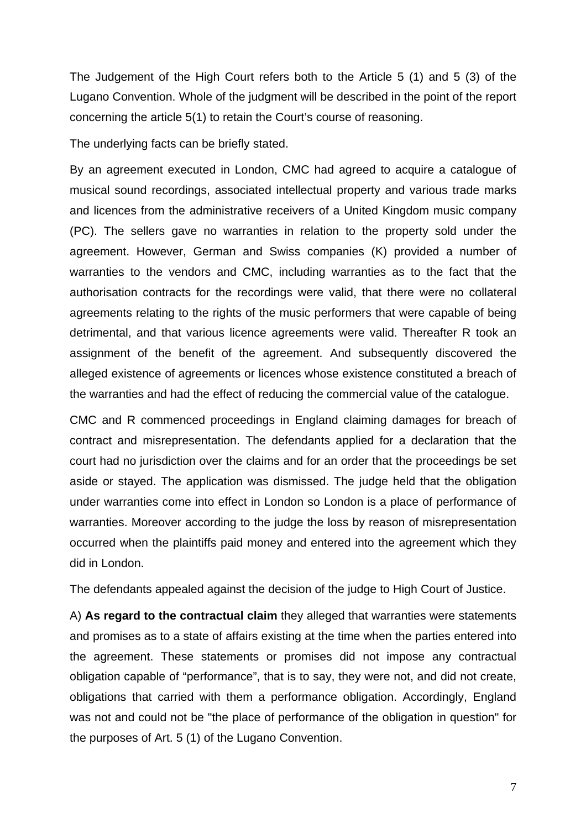The Judgement of the High Court refers both to the Article 5 (1) and 5 (3) of the Lugano Convention. Whole of the judgment will be described in the point of the report concerning the article 5(1) to retain the Court's course of reasoning.

The underlying facts can be briefly stated.

By an agreement executed in London, CMC had agreed to acquire a catalogue of musical sound recordings, associated intellectual property and various trade marks and licences from the administrative receivers of a United Kingdom music company (PC). The sellers gave no warranties in relation to the property sold under the agreement. However, German and Swiss companies (K) provided a number of warranties to the vendors and CMC, including warranties as to the fact that the authorisation contracts for the recordings were valid, that there were no collateral agreements relating to the rights of the music performers that were capable of being detrimental, and that various licence agreements were valid. Thereafter R took an assignment of the benefit of the agreement. And subsequently discovered the alleged existence of agreements or licences whose existence constituted a breach of the warranties and had the effect of reducing the commercial value of the catalogue.

CMC and R commenced proceedings in England claiming damages for breach of contract and misrepresentation. The defendants applied for a declaration that the court had no jurisdiction over the claims and for an order that the proceedings be set aside or stayed. The application was dismissed. The judge held that the obligation under warranties come into effect in London so London is a place of performance of warranties. Moreover according to the judge the loss by reason of misrepresentation occurred when the plaintiffs paid money and entered into the agreement which they did in London.

The defendants appealed against the decision of the judge to High Court of Justice.

A) **As regard to the contractual claim** they alleged that warranties were statements and promises as to a state of affairs existing at the time when the parties entered into the agreement. These statements or promises did not impose any contractual obligation capable of "performance", that is to say, they were not, and did not create, obligations that carried with them a performance obligation. Accordingly, England was not and could not be "the place of performance of the obligation in question" for the purposes of Art. 5 (1) of the Lugano Convention.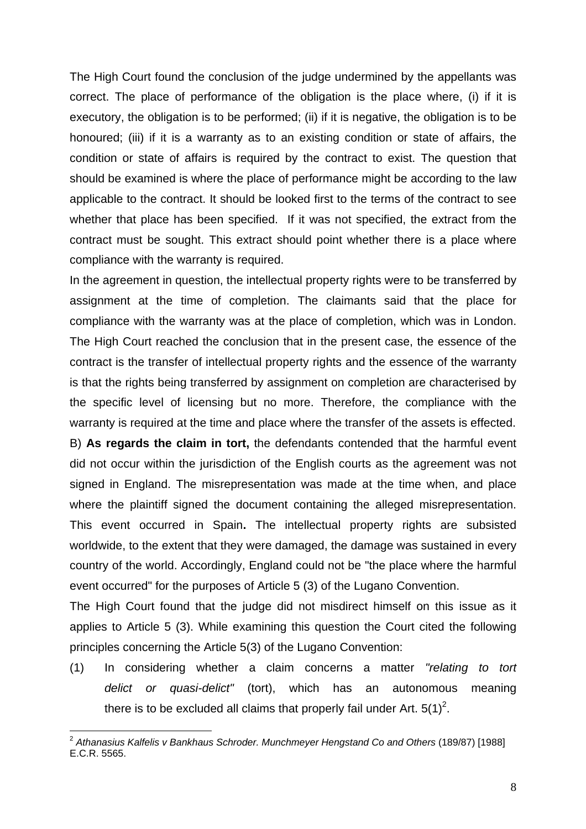The High Court found the conclusion of the judge undermined by the appellants was correct. The place of performance of the obligation is the place where, (i) if it is executory, the obligation is to be performed; (ii) if it is negative, the obligation is to be honoured; (iii) if it is a warranty as to an existing condition or state of affairs, the condition or state of affairs is required by the contract to exist. The question that should be examined is where the place of performance might be according to the law applicable to the contract. It should be looked first to the terms of the contract to see whether that place has been specified. If it was not specified, the extract from the contract must be sought. This extract should point whether there is a place where compliance with the warranty is required.

In the agreement in question, the intellectual property rights were to be transferred by assignment at the time of completion. The claimants said that the place for compliance with the warranty was at the place of completion, which was in London. The High Court reached the conclusion that in the present case, the essence of the contract is the transfer of intellectual property rights and the essence of the warranty is that the rights being transferred by assignment on completion are characterised by the specific level of licensing but no more. Therefore, the compliance with the warranty is required at the time and place where the transfer of the assets is effected.

B) **As regards the claim in tort,** the defendants contended that the harmful event did not occur within the jurisdiction of the English courts as the agreement was not signed in England. The misrepresentation was made at the time when, and place where the plaintiff signed the document containing the alleged misrepresentation. This event occurred in Spain**.** The intellectual property rights are subsisted worldwide, to the extent that they were damaged, the damage was sustained in every country of the world. Accordingly, England could not be "the place where the harmful event occurred" for the purposes of Article 5 (3) of the Lugano Convention.

The High Court found that the judge did not misdirect himself on this issue as it applies to Article 5 (3). While examining this question the Court cited the following principles concerning the Article 5(3) of the Lugano Convention:

(1) In considering whether a claim concerns a matter *"relating to tort delict or quasi-delict"* (tort), which has an autonomous meaning there is to be excluded all claims that properly fail under Art.  $5(1)^2$ .

<sup>1</sup> <sup>2</sup> Athanasius Kalfelis v Bankhaus Schroder. Munchmeyer Hengstand Co and Others (189/87) [1988] E.C.R. 5565.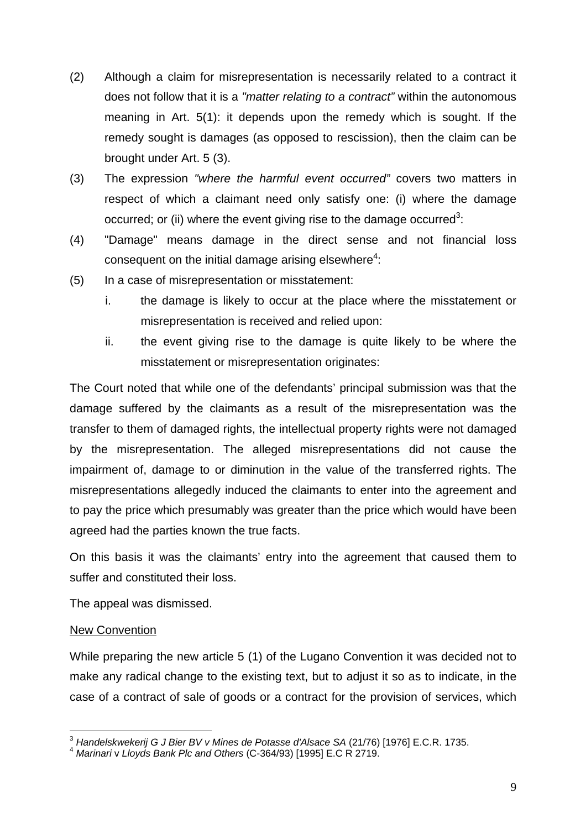- (2) Although a claim for misrepresentation is necessarily related to a contract it does not follow that it is a *"matter relating to a contract"* within the autonomous meaning in Art. 5(1): it depends upon the remedy which is sought. If the remedy sought is damages (as opposed to rescission), then the claim can be brought under Art. 5 (3).
- (3) The expression *"where the harmful event occurred"* covers two matters in respect of which a claimant need only satisfy one: (i) where the damage occurred; or (ii) where the event giving rise to the damage occurred<sup>3</sup>:
- (4) "Damage" means damage in the direct sense and not financial loss consequent on the initial damage arising elsewhere<sup>4</sup>:
- (5) In a case of misrepresentation or misstatement:
	- i. the damage is likely to occur at the place where the misstatement or misrepresentation is received and relied upon:
	- ii. the event giving rise to the damage is quite likely to be where the misstatement or misrepresentation originates:

The Court noted that while one of the defendants' principal submission was that the damage suffered by the claimants as a result of the misrepresentation was the transfer to them of damaged rights, the intellectual property rights were not damaged by the misrepresentation. The alleged misrepresentations did not cause the impairment of, damage to or diminution in the value of the transferred rights. The misrepresentations allegedly induced the claimants to enter into the agreement and to pay the price which presumably was greater than the price which would have been agreed had the parties known the true facts.

On this basis it was the claimants' entry into the agreement that caused them to suffer and constituted their loss.

The appeal was dismissed.

## New Convention

While preparing the new article 5 (1) of the Lugano Convention it was decided not to make any radical change to the existing text, but to adjust it so as to indicate, in the case of a contract of sale of goods or a contract for the provision of services, which

<sup>1</sup> <sup>3</sup> Handelskwekerij G J Bier BV v Mines de Potasse d'Alsace SA (21/76) [1976] E.C.R. 1735.<br><sup>4</sup> Marinari v *Lloyds Bank Plc and Others (C-364/93) [1995] E.C R 2719.*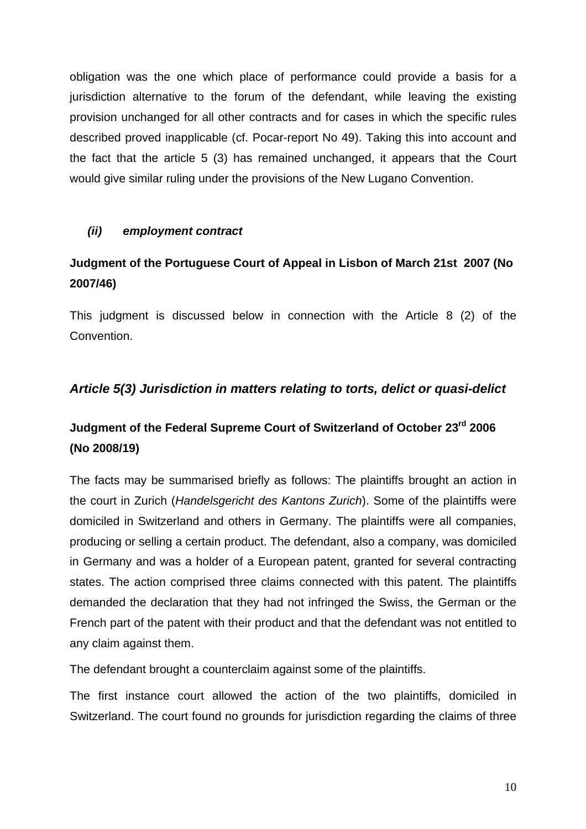obligation was the one which place of performance could provide a basis for a jurisdiction alternative to the forum of the defendant, while leaving the existing provision unchanged for all other contracts and for cases in which the specific rules described proved inapplicable (cf. Pocar-report No 49). Taking this into account and the fact that the article 5 (3) has remained unchanged, it appears that the Court would give similar ruling under the provisions of the New Lugano Convention.

## *(ii) employment contract*

# **Judgment of the Portuguese Court of Appeal in Lisbon of March 21st 2007 (No 2007/46)**

This judgment is discussed below in connection with the Article 8 (2) of the Convention.

## *Article 5(3) Jurisdiction in matters relating to torts, delict or quasi-delict*

# **Judgment of the Federal Supreme Court of Switzerland of October 23rd 2006 (No 2008/19)**

The facts may be summarised briefly as follows: The plaintiffs brought an action in the court in Zurich (*Handelsgericht des Kantons Zurich*). Some of the plaintiffs were domiciled in Switzerland and others in Germany. The plaintiffs were all companies, producing or selling a certain product. The defendant, also a company, was domiciled in Germany and was a holder of a European patent, granted for several contracting states. The action comprised three claims connected with this patent. The plaintiffs demanded the declaration that they had not infringed the Swiss, the German or the French part of the patent with their product and that the defendant was not entitled to any claim against them.

The defendant brought a counterclaim against some of the plaintiffs.

The first instance court allowed the action of the two plaintiffs, domiciled in Switzerland. The court found no grounds for jurisdiction regarding the claims of three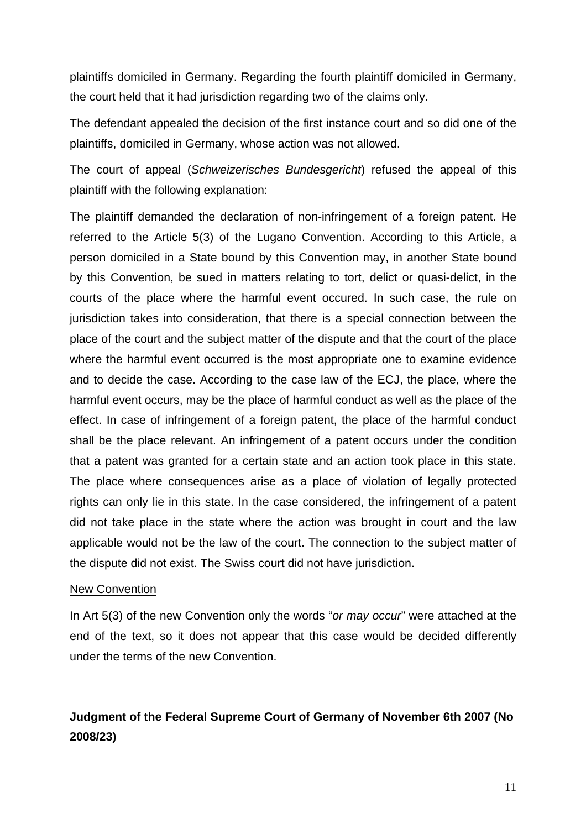plaintiffs domiciled in Germany. Regarding the fourth plaintiff domiciled in Germany, the court held that it had jurisdiction regarding two of the claims only.

The defendant appealed the decision of the first instance court and so did one of the plaintiffs, domiciled in Germany, whose action was not allowed.

The court of appeal (*Schweizerisches Bundesgericht*) refused the appeal of this plaintiff with the following explanation:

The plaintiff demanded the declaration of non-infringement of a foreign patent. He referred to the Article 5(3) of the Lugano Convention. According to this Article, a person domiciled in a State bound by this Convention may, in another State bound by this Convention, be sued in matters relating to tort, delict or quasi-delict, in the courts of the place where the harmful event occured. In such case, the rule on jurisdiction takes into consideration, that there is a special connection between the place of the court and the subject matter of the dispute and that the court of the place where the harmful event occurred is the most appropriate one to examine evidence and to decide the case. According to the case law of the ECJ, the place, where the harmful event occurs, may be the place of harmful conduct as well as the place of the effect. In case of infringement of a foreign patent, the place of the harmful conduct shall be the place relevant. An infringement of a patent occurs under the condition that a patent was granted for a certain state and an action took place in this state. The place where consequences arise as a place of violation of legally protected rights can only lie in this state. In the case considered, the infringement of a patent did not take place in the state where the action was brought in court and the law applicable would not be the law of the court. The connection to the subject matter of the dispute did not exist. The Swiss court did not have jurisdiction.

#### New Convention

In Art 5(3) of the new Convention only the words "*or may occur*" were attached at the end of the text, so it does not appear that this case would be decided differently under the terms of the new Convention.

# **Judgment of the Federal Supreme Court of Germany of November 6th 2007 (No 2008/23)**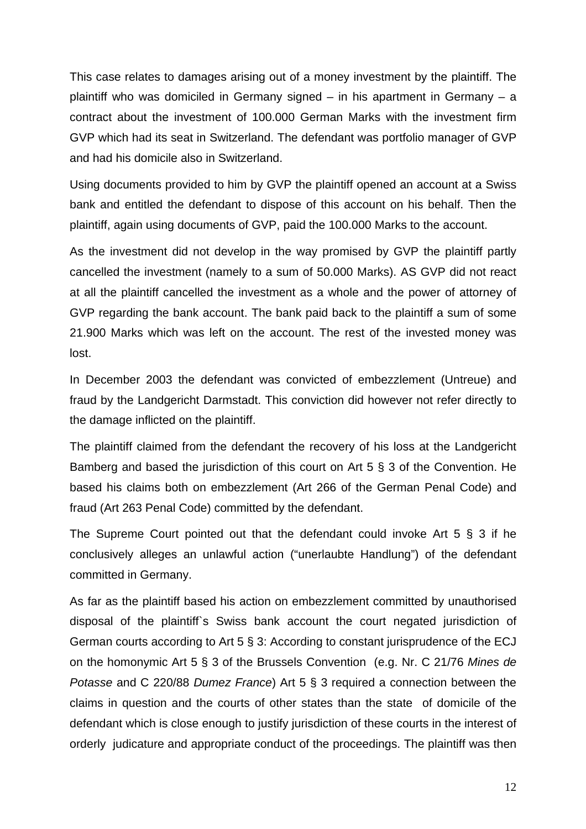This case relates to damages arising out of a money investment by the plaintiff. The plaintiff who was domiciled in Germany signed – in his apartment in Germany – a contract about the investment of 100.000 German Marks with the investment firm GVP which had its seat in Switzerland. The defendant was portfolio manager of GVP and had his domicile also in Switzerland.

Using documents provided to him by GVP the plaintiff opened an account at a Swiss bank and entitled the defendant to dispose of this account on his behalf. Then the plaintiff, again using documents of GVP, paid the 100.000 Marks to the account.

As the investment did not develop in the way promised by GVP the plaintiff partly cancelled the investment (namely to a sum of 50.000 Marks). AS GVP did not react at all the plaintiff cancelled the investment as a whole and the power of attorney of GVP regarding the bank account. The bank paid back to the plaintiff a sum of some 21.900 Marks which was left on the account. The rest of the invested money was lost.

In December 2003 the defendant was convicted of embezzlement (Untreue) and fraud by the Landgericht Darmstadt. This conviction did however not refer directly to the damage inflicted on the plaintiff.

The plaintiff claimed from the defendant the recovery of his loss at the Landgericht Bamberg and based the jurisdiction of this court on Art 5 § 3 of the Convention. He based his claims both on embezzlement (Art 266 of the German Penal Code) and fraud (Art 263 Penal Code) committed by the defendant.

The Supreme Court pointed out that the defendant could invoke Art 5 § 3 if he conclusively alleges an unlawful action ("unerlaubte Handlung") of the defendant committed in Germany.

As far as the plaintiff based his action on embezzlement committed by unauthorised disposal of the plaintiff`s Swiss bank account the court negated jurisdiction of German courts according to Art 5 § 3: According to constant jurisprudence of the ECJ on the homonymic Art 5 § 3 of the Brussels Convention (e.g. Nr. C 21/76 *Mines de Potasse* and C 220/88 *Dumez France*) Art 5 § 3 required a connection between the claims in question and the courts of other states than the state of domicile of the defendant which is close enough to justify jurisdiction of these courts in the interest of orderly judicature and appropriate conduct of the proceedings. The plaintiff was then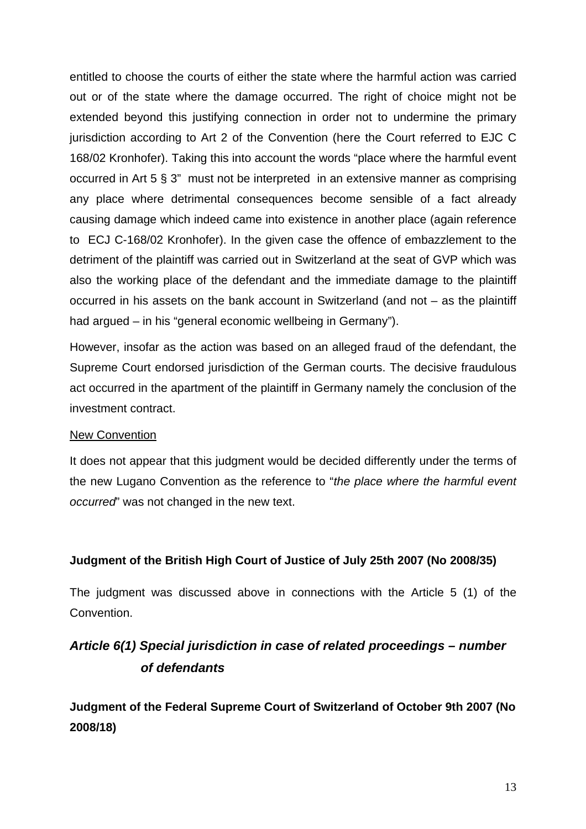entitled to choose the courts of either the state where the harmful action was carried out or of the state where the damage occurred. The right of choice might not be extended beyond this justifying connection in order not to undermine the primary jurisdiction according to Art 2 of the Convention (here the Court referred to EJC C 168/02 Kronhofer). Taking this into account the words "place where the harmful event occurred in Art 5 § 3" must not be interpreted in an extensive manner as comprising any place where detrimental consequences become sensible of a fact already causing damage which indeed came into existence in another place (again reference to ECJ C-168/02 Kronhofer). In the given case the offence of embazzlement to the detriment of the plaintiff was carried out in Switzerland at the seat of GVP which was also the working place of the defendant and the immediate damage to the plaintiff occurred in his assets on the bank account in Switzerland (and not – as the plaintiff had argued – in his "general economic wellbeing in Germany").

However, insofar as the action was based on an alleged fraud of the defendant, the Supreme Court endorsed jurisdiction of the German courts. The decisive fraudulous act occurred in the apartment of the plaintiff in Germany namely the conclusion of the investment contract.

#### New Convention

It does not appear that this judgment would be decided differently under the terms of the new Lugano Convention as the reference to "*the place where the harmful event occurred*" was not changed in the new text.

## **Judgment of the British High Court of Justice of July 25th 2007 (No 2008/35)**

The judgment was discussed above in connections with the Article 5 (1) of the Convention.

# *Article 6(1) Special jurisdiction in case of related proceedings – number of defendants*

**Judgment of the Federal Supreme Court of Switzerland of October 9th 2007 (No 2008/18)**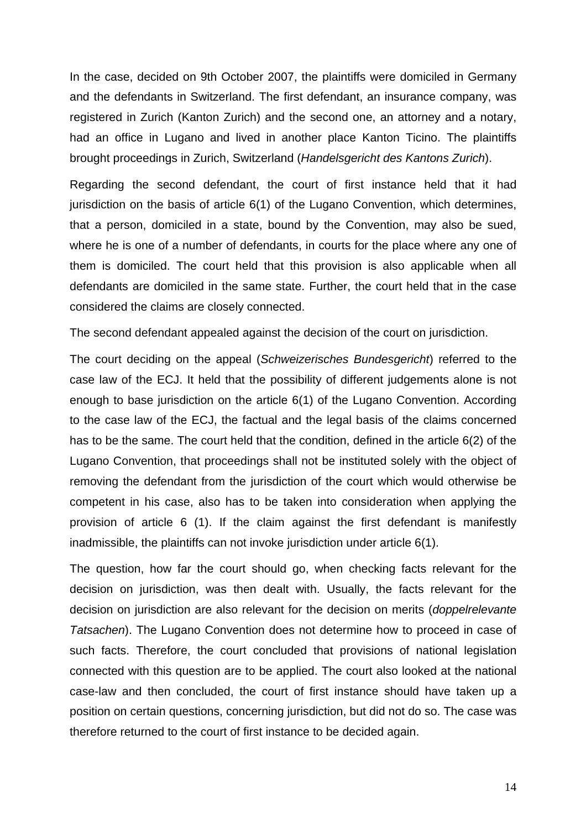In the case, decided on 9th October 2007, the plaintiffs were domiciled in Germany and the defendants in Switzerland. The first defendant, an insurance company, was registered in Zurich (Kanton Zurich) and the second one, an attorney and a notary, had an office in Lugano and lived in another place Kanton Ticino. The plaintiffs brought proceedings in Zurich, Switzerland (*Handelsgericht des Kantons Zurich*).

Regarding the second defendant, the court of first instance held that it had jurisdiction on the basis of article 6(1) of the Lugano Convention, which determines, that a person, domiciled in a state, bound by the Convention, may also be sued, where he is one of a number of defendants, in courts for the place where any one of them is domiciled. The court held that this provision is also applicable when all defendants are domiciled in the same state. Further, the court held that in the case considered the claims are closely connected.

The second defendant appealed against the decision of the court on jurisdiction.

The court deciding on the appeal (*Schweizerisches Bundesgericht*) referred to the case law of the ECJ. It held that the possibility of different judgements alone is not enough to base jurisdiction on the article 6(1) of the Lugano Convention. According to the case law of the ECJ, the factual and the legal basis of the claims concerned has to be the same. The court held that the condition, defined in the article 6(2) of the Lugano Convention, that proceedings shall not be instituted solely with the object of removing the defendant from the jurisdiction of the court which would otherwise be competent in his case, also has to be taken into consideration when applying the provision of article 6 (1). If the claim against the first defendant is manifestly inadmissible, the plaintiffs can not invoke jurisdiction under article 6(1).

The question, how far the court should go, when checking facts relevant for the decision on jurisdiction, was then dealt with. Usually, the facts relevant for the decision on jurisdiction are also relevant for the decision on merits (*doppelrelevante Tatsachen*). The Lugano Convention does not determine how to proceed in case of such facts. Therefore, the court concluded that provisions of national legislation connected with this question are to be applied. The court also looked at the national case-law and then concluded, the court of first instance should have taken up a position on certain questions, concerning jurisdiction, but did not do so. The case was therefore returned to the court of first instance to be decided again.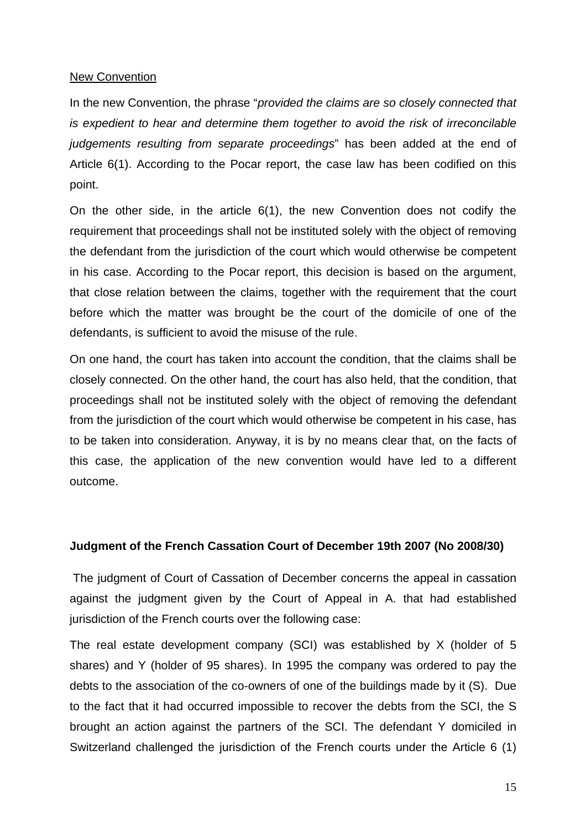#### New Convention

In the new Convention, the phrase "*provided the claims are so closely connected that is expedient to hear and determine them together to avoid the risk of irreconcilable judgements resulting from separate proceedings*" has been added at the end of Article 6(1). According to the Pocar report, the case law has been codified on this point.

On the other side, in the article 6(1), the new Convention does not codify the requirement that proceedings shall not be instituted solely with the object of removing the defendant from the jurisdiction of the court which would otherwise be competent in his case. According to the Pocar report, this decision is based on the argument, that close relation between the claims, together with the requirement that the court before which the matter was brought be the court of the domicile of one of the defendants, is sufficient to avoid the misuse of the rule.

On one hand, the court has taken into account the condition, that the claims shall be closely connected. On the other hand, the court has also held, that the condition, that proceedings shall not be instituted solely with the object of removing the defendant from the jurisdiction of the court which would otherwise be competent in his case, has to be taken into consideration. Anyway, it is by no means clear that, on the facts of this case, the application of the new convention would have led to a different outcome.

#### **Judgment of the French Cassation Court of December 19th 2007 (No 2008/30)**

 The judgment of Court of Cassation of December concerns the appeal in cassation against the judgment given by the Court of Appeal in A. that had established jurisdiction of the French courts over the following case:

The real estate development company (SCI) was established by X (holder of 5 shares) and Y (holder of 95 shares). In 1995 the company was ordered to pay the debts to the association of the co-owners of one of the buildings made by it (S). Due to the fact that it had occurred impossible to recover the debts from the SCI, the S brought an action against the partners of the SCI. The defendant Y domiciled in Switzerland challenged the jurisdiction of the French courts under the Article 6 (1)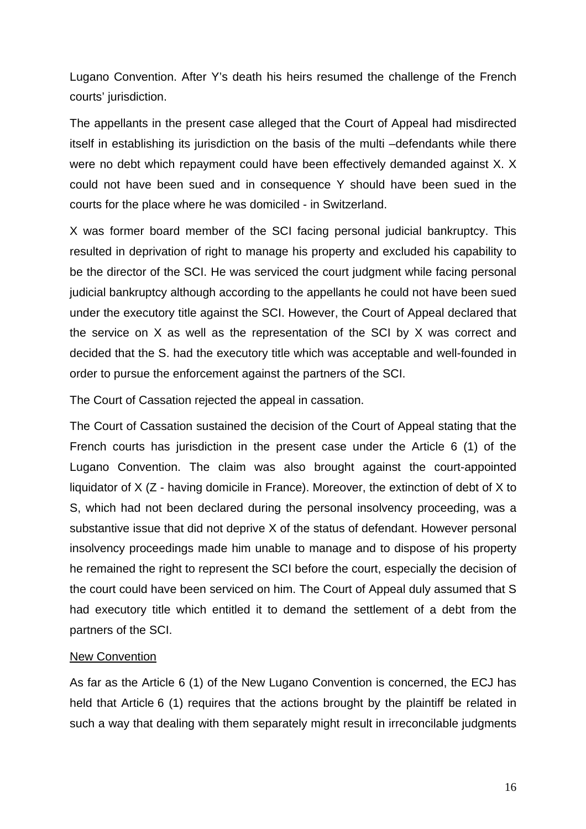Lugano Convention. After Y's death his heirs resumed the challenge of the French courts' jurisdiction.

The appellants in the present case alleged that the Court of Appeal had misdirected itself in establishing its jurisdiction on the basis of the multi –defendants while there were no debt which repayment could have been effectively demanded against X. X could not have been sued and in consequence Y should have been sued in the courts for the place where he was domiciled - in Switzerland.

X was former board member of the SCI facing personal judicial bankruptcy. This resulted in deprivation of right to manage his property and excluded his capability to be the director of the SCI. He was serviced the court judgment while facing personal judicial bankruptcy although according to the appellants he could not have been sued under the executory title against the SCI. However, the Court of Appeal declared that the service on X as well as the representation of the SCI by X was correct and decided that the S. had the executory title which was acceptable and well-founded in order to pursue the enforcement against the partners of the SCI.

The Court of Cassation rejected the appeal in cassation.

The Court of Cassation sustained the decision of the Court of Appeal stating that the French courts has jurisdiction in the present case under the Article 6 (1) of the Lugano Convention. The claim was also brought against the court-appointed liquidator of X (Z - having domicile in France). Moreover, the extinction of debt of X to S, which had not been declared during the personal insolvency proceeding, was a substantive issue that did not deprive X of the status of defendant. However personal insolvency proceedings made him unable to manage and to dispose of his property he remained the right to represent the SCI before the court, especially the decision of the court could have been serviced on him. The Court of Appeal duly assumed that S had executory title which entitled it to demand the settlement of a debt from the partners of the SCI.

#### New Convention

As far as the Article 6 (1) of the New Lugano Convention is concerned, the ECJ has held that Article 6 (1) requires that the actions brought by the plaintiff be related in such a way that dealing with them separately might result in irreconcilable judgments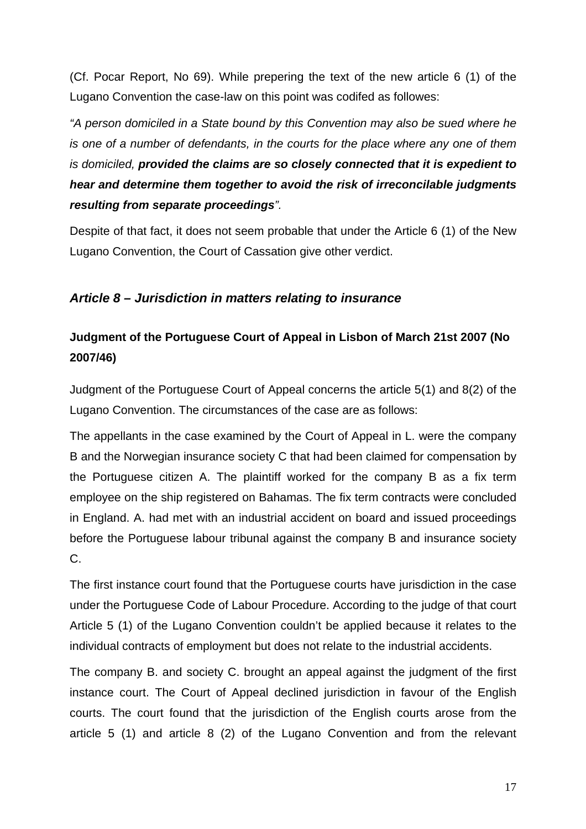(Cf. Pocar Report, No 69). While prepering the text of the new article 6 (1) of the Lugano Convention the case-law on this point was codifed as followes:

*"A person domiciled in a State bound by this Convention may also be sued where he is one of a number of defendants, in the courts for the place where any one of them is domiciled, provided the claims are so closely connected that it is expedient to hear and determine them together to avoid the risk of irreconcilable judgments resulting from separate proceedings".* 

Despite of that fact, it does not seem probable that under the Article 6 (1) of the New Lugano Convention, the Court of Cassation give other verdict.

## *Article 8 – Jurisdiction in matters relating to insurance*

## **Judgment of the Portuguese Court of Appeal in Lisbon of March 21st 2007 (No 2007/46)**

Judgment of the Portuguese Court of Appeal concerns the article 5(1) and 8(2) of the Lugano Convention. The circumstances of the case are as follows:

The appellants in the case examined by the Court of Appeal in L. were the company B and the Norwegian insurance society C that had been claimed for compensation by the Portuguese citizen A. The plaintiff worked for the company B as a fix term employee on the ship registered on Bahamas. The fix term contracts were concluded in England. A. had met with an industrial accident on board and issued proceedings before the Portuguese labour tribunal against the company B and insurance society C.

The first instance court found that the Portuguese courts have jurisdiction in the case under the Portuguese Code of Labour Procedure. According to the judge of that court Article 5 (1) of the Lugano Convention couldn't be applied because it relates to the individual contracts of employment but does not relate to the industrial accidents.

The company B. and society C. brought an appeal against the judgment of the first instance court. The Court of Appeal declined jurisdiction in favour of the English courts. The court found that the jurisdiction of the English courts arose from the article 5 (1) and article 8 (2) of the Lugano Convention and from the relevant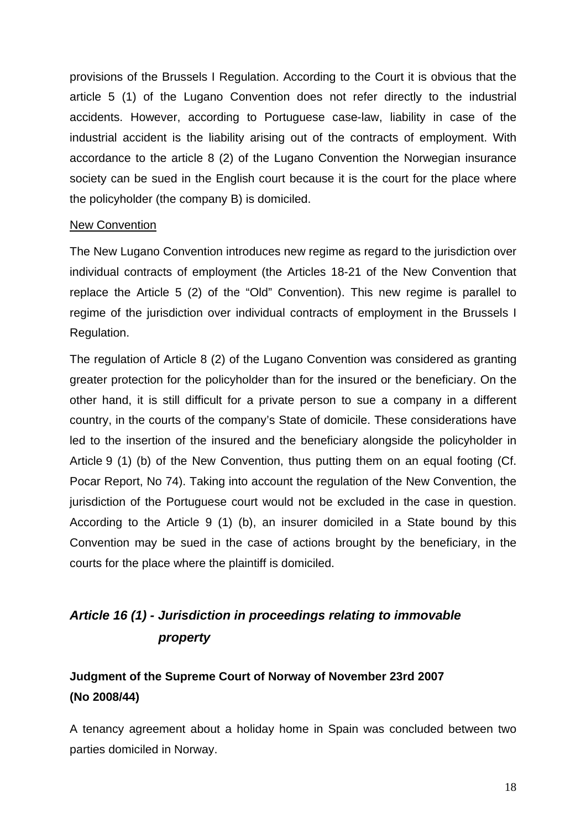provisions of the Brussels I Regulation. According to the Court it is obvious that the article 5 (1) of the Lugano Convention does not refer directly to the industrial accidents. However, according to Portuguese case-law, liability in case of the industrial accident is the liability arising out of the contracts of employment. With accordance to the article 8 (2) of the Lugano Convention the Norwegian insurance society can be sued in the English court because it is the court for the place where the policyholder (the company B) is domiciled.

#### New Convention

The New Lugano Convention introduces new regime as regard to the jurisdiction over individual contracts of employment (the Articles 18-21 of the New Convention that replace the Article 5 (2) of the "Old" Convention). This new regime is parallel to regime of the jurisdiction over individual contracts of employment in the Brussels I Regulation.

The regulation of Article 8 (2) of the Lugano Convention was considered as granting greater protection for the policyholder than for the insured or the beneficiary. On the other hand, it is still difficult for a private person to sue a company in a different country, in the courts of the company's State of domicile. These considerations have led to the insertion of the insured and the beneficiary alongside the policyholder in Article 9 (1) (b) of the New Convention, thus putting them on an equal footing (Cf. Pocar Report, No 74). Taking into account the regulation of the New Convention, the jurisdiction of the Portuguese court would not be excluded in the case in question. According to the Article 9 (1) (b), an insurer domiciled in a State bound by this Convention may be sued in the case of actions brought by the beneficiary, in the courts for the place where the plaintiff is domiciled.

# *Article 16 (1) - Jurisdiction in proceedings relating to immovable property*

# **Judgment of the Supreme Court of Norway of November 23rd 2007 (No 2008/44)**

A tenancy agreement about a holiday home in Spain was concluded between two parties domiciled in Norway.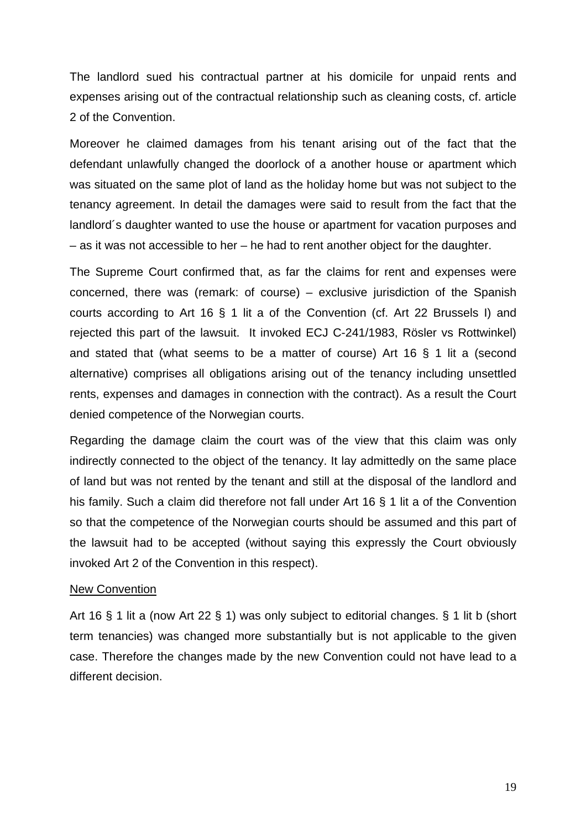The landlord sued his contractual partner at his domicile for unpaid rents and expenses arising out of the contractual relationship such as cleaning costs, cf. article 2 of the Convention.

Moreover he claimed damages from his tenant arising out of the fact that the defendant unlawfully changed the doorlock of a another house or apartment which was situated on the same plot of land as the holiday home but was not subject to the tenancy agreement. In detail the damages were said to result from the fact that the landlord´s daughter wanted to use the house or apartment for vacation purposes and – as it was not accessible to her – he had to rent another object for the daughter.

The Supreme Court confirmed that, as far the claims for rent and expenses were concerned, there was (remark: of course) – exclusive jurisdiction of the Spanish courts according to Art 16 § 1 lit a of the Convention (cf. Art 22 Brussels I) and rejected this part of the lawsuit. It invoked ECJ C-241/1983, Rösler vs Rottwinkel) and stated that (what seems to be a matter of course) Art 16 § 1 lit a (second alternative) comprises all obligations arising out of the tenancy including unsettled rents, expenses and damages in connection with the contract). As a result the Court denied competence of the Norwegian courts.

Regarding the damage claim the court was of the view that this claim was only indirectly connected to the object of the tenancy. It lay admittedly on the same place of land but was not rented by the tenant and still at the disposal of the landlord and his family. Such a claim did therefore not fall under Art 16 § 1 lit a of the Convention so that the competence of the Norwegian courts should be assumed and this part of the lawsuit had to be accepted (without saying this expressly the Court obviously invoked Art 2 of the Convention in this respect).

#### New Convention

Art 16 § 1 lit a (now Art 22 § 1) was only subject to editorial changes. § 1 lit b (short term tenancies) was changed more substantially but is not applicable to the given case. Therefore the changes made by the new Convention could not have lead to a different decision.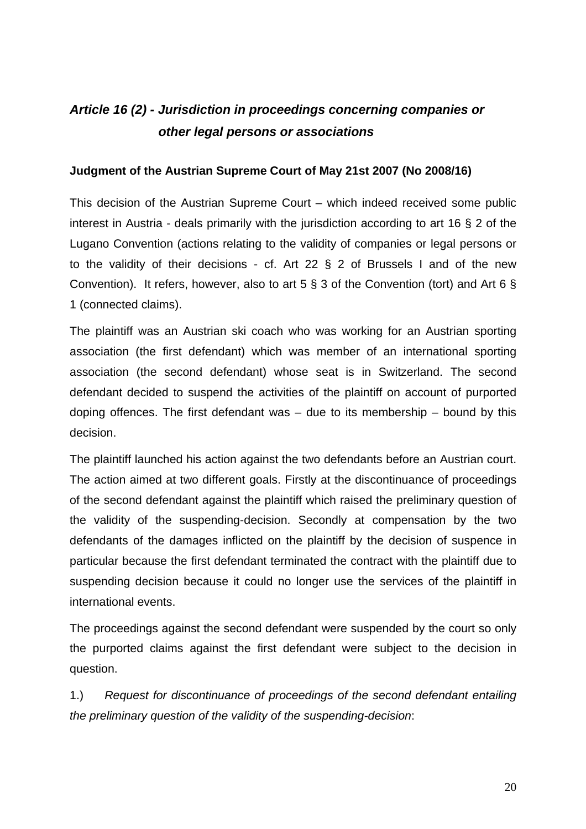# *Article 16 (2) - Jurisdiction in proceedings concerning companies or other legal persons or associations*

#### **Judgment of the Austrian Supreme Court of May 21st 2007 (No 2008/16)**

This decision of the Austrian Supreme Court – which indeed received some public interest in Austria - deals primarily with the jurisdiction according to art 16 § 2 of the Lugano Convention (actions relating to the validity of companies or legal persons or to the validity of their decisions - cf. Art 22 § 2 of Brussels I and of the new Convention). It refers, however, also to art 5  $\S$  3 of the Convention (tort) and Art 6  $\S$ 1 (connected claims).

The plaintiff was an Austrian ski coach who was working for an Austrian sporting association (the first defendant) which was member of an international sporting association (the second defendant) whose seat is in Switzerland. The second defendant decided to suspend the activities of the plaintiff on account of purported doping offences. The first defendant was  $-$  due to its membership  $-$  bound by this decision.

The plaintiff launched his action against the two defendants before an Austrian court. The action aimed at two different goals. Firstly at the discontinuance of proceedings of the second defendant against the plaintiff which raised the preliminary question of the validity of the suspending-decision. Secondly at compensation by the two defendants of the damages inflicted on the plaintiff by the decision of suspence in particular because the first defendant terminated the contract with the plaintiff due to suspending decision because it could no longer use the services of the plaintiff in international events.

The proceedings against the second defendant were suspended by the court so only the purported claims against the first defendant were subject to the decision in question.

1.) *Request for discontinuance of proceedings of the second defendant entailing the preliminary question of the validity of the suspending-decision*: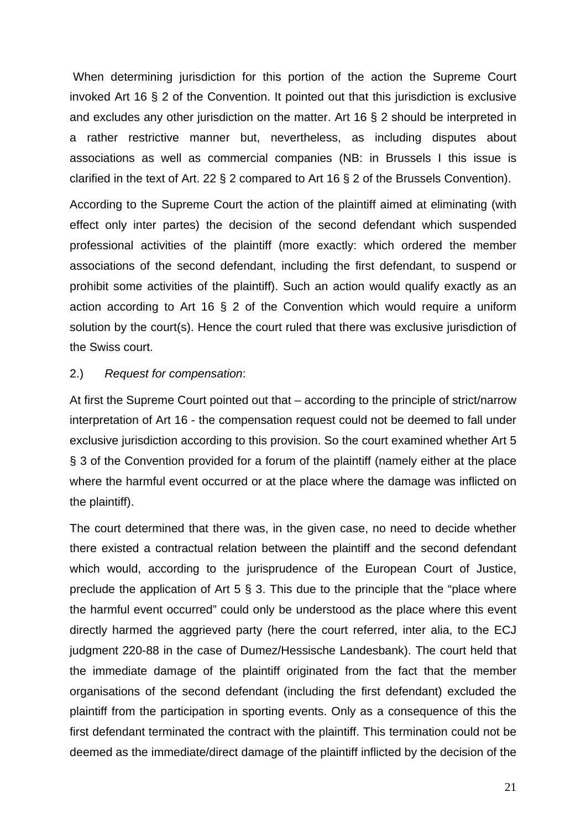When determining jurisdiction for this portion of the action the Supreme Court invoked Art 16 § 2 of the Convention. It pointed out that this jurisdiction is exclusive and excludes any other jurisdiction on the matter. Art 16 § 2 should be interpreted in a rather restrictive manner but, nevertheless, as including disputes about associations as well as commercial companies (NB: in Brussels I this issue is clarified in the text of Art. 22 § 2 compared to Art 16 § 2 of the Brussels Convention).

According to the Supreme Court the action of the plaintiff aimed at eliminating (with effect only inter partes) the decision of the second defendant which suspended professional activities of the plaintiff (more exactly: which ordered the member associations of the second defendant, including the first defendant, to suspend or prohibit some activities of the plaintiff). Such an action would qualify exactly as an action according to Art 16 § 2 of the Convention which would require a uniform solution by the court(s). Hence the court ruled that there was exclusive jurisdiction of the Swiss court.

#### 2.) *Request for compensation*:

At first the Supreme Court pointed out that – according to the principle of strict/narrow interpretation of Art 16 - the compensation request could not be deemed to fall under exclusive jurisdiction according to this provision. So the court examined whether Art 5 § 3 of the Convention provided for a forum of the plaintiff (namely either at the place where the harmful event occurred or at the place where the damage was inflicted on the plaintiff).

The court determined that there was, in the given case, no need to decide whether there existed a contractual relation between the plaintiff and the second defendant which would, according to the jurisprudence of the European Court of Justice, preclude the application of Art  $5 \text{ } \text{\textless} 3$ . This due to the principle that the "place where the harmful event occurred" could only be understood as the place where this event directly harmed the aggrieved party (here the court referred, inter alia, to the ECJ judgment 220-88 in the case of Dumez/Hessische Landesbank). The court held that the immediate damage of the plaintiff originated from the fact that the member organisations of the second defendant (including the first defendant) excluded the plaintiff from the participation in sporting events. Only as a consequence of this the first defendant terminated the contract with the plaintiff. This termination could not be deemed as the immediate/direct damage of the plaintiff inflicted by the decision of the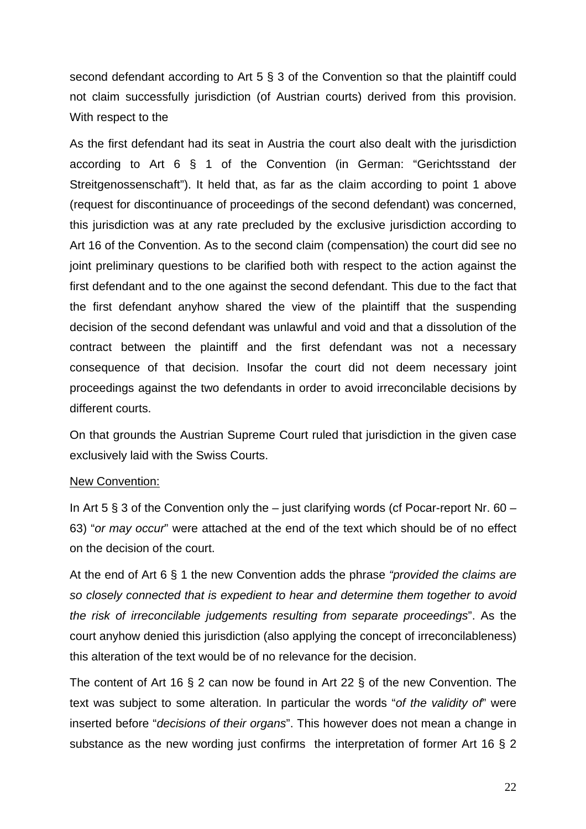second defendant according to Art 5 § 3 of the Convention so that the plaintiff could not claim successfully jurisdiction (of Austrian courts) derived from this provision. With respect to the

As the first defendant had its seat in Austria the court also dealt with the jurisdiction according to Art 6 § 1 of the Convention (in German: "Gerichtsstand der Streitgenossenschaft"). It held that, as far as the claim according to point 1 above (request for discontinuance of proceedings of the second defendant) was concerned, this jurisdiction was at any rate precluded by the exclusive jurisdiction according to Art 16 of the Convention. As to the second claim (compensation) the court did see no joint preliminary questions to be clarified both with respect to the action against the first defendant and to the one against the second defendant. This due to the fact that the first defendant anyhow shared the view of the plaintiff that the suspending decision of the second defendant was unlawful and void and that a dissolution of the contract between the plaintiff and the first defendant was not a necessary consequence of that decision. Insofar the court did not deem necessary joint proceedings against the two defendants in order to avoid irreconcilable decisions by different courts.

On that grounds the Austrian Supreme Court ruled that jurisdiction in the given case exclusively laid with the Swiss Courts.

#### New Convention:

In Art 5  $\S$  3 of the Convention only the – just clarifying words (cf Pocar-report Nr. 60 – 63) "*or may occur*" were attached at the end of the text which should be of no effect on the decision of the court.

At the end of Art 6 § 1 the new Convention adds the phrase *"provided the claims are so closely connected that is expedient to hear and determine them together to avoid the risk of irreconcilable judgements resulting from separate proceedings*". As the court anyhow denied this jurisdiction (also applying the concept of irreconcilableness) this alteration of the text would be of no relevance for the decision.

The content of Art 16 § 2 can now be found in Art 22 § of the new Convention. The text was subject to some alteration. In particular the words "*of the validity of*" were inserted before "*decisions of their organs*". This however does not mean a change in substance as the new wording just confirms the interpretation of former Art 16 § 2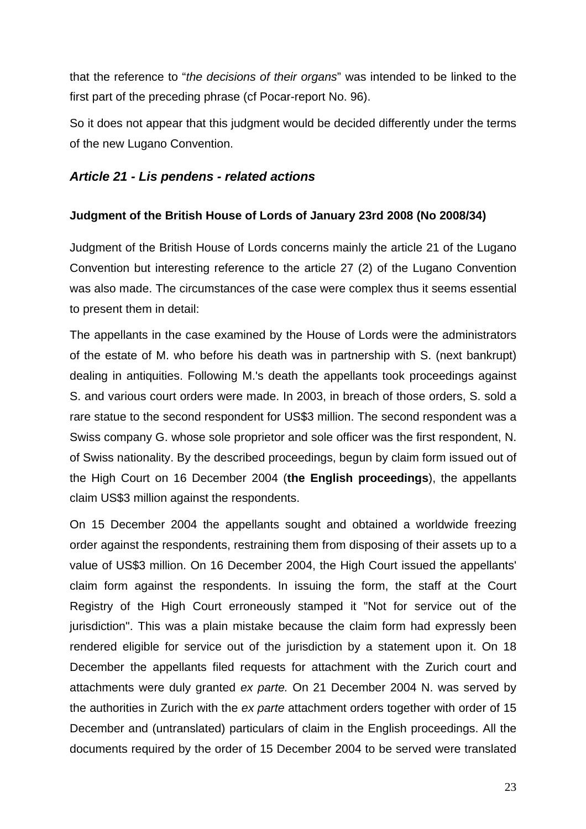that the reference to "*the decisions of their organs*" was intended to be linked to the first part of the preceding phrase (cf Pocar-report No. 96).

So it does not appear that this judgment would be decided differently under the terms of the new Lugano Convention.

#### *Article 21 - Lis pendens - related actions*

#### **Judgment of the British House of Lords of January 23rd 2008 (No 2008/34)**

Judgment of the British House of Lords concerns mainly the article 21 of the Lugano Convention but interesting reference to the article 27 (2) of the Lugano Convention was also made. The circumstances of the case were complex thus it seems essential to present them in detail:

The appellants in the case examined by the House of Lords were the administrators of the estate of M. who before his death was in partnership with S. (next bankrupt) dealing in antiquities. Following M.'s death the appellants took proceedings against S. and various court orders were made. In 2003, in breach of those orders, S. sold a rare statue to the second respondent for US\$3 million. The second respondent was a Swiss company G. whose sole proprietor and sole officer was the first respondent, N. of Swiss nationality. By the described proceedings, begun by claim form issued out of the High Court on 16 December 2004 (**the English proceedings**), the appellants claim US\$3 million against the respondents.

On 15 December 2004 the appellants sought and obtained a worldwide freezing order against the respondents, restraining them from disposing of their assets up to a value of US\$3 million. On 16 December 2004, the High Court issued the appellants' claim form against the respondents. In issuing the form, the staff at the Court Registry of the High Court erroneously stamped it "Not for service out of the jurisdiction". This was a plain mistake because the claim form had expressly been rendered eligible for service out of the jurisdiction by a statement upon it. On 18 December the appellants filed requests for attachment with the Zurich court and attachments were duly granted *ex parte.* On 21 December 2004 N. was served by the authorities in Zurich with the *ex parte* attachment orders together with order of 15 December and (untranslated) particulars of claim in the English proceedings. All the documents required by the order of 15 December 2004 to be served were translated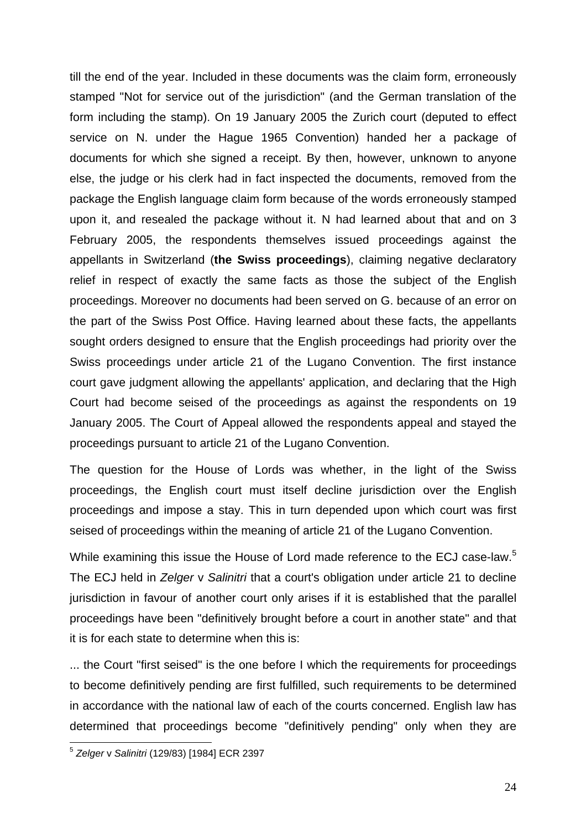till the end of the year. Included in these documents was the claim form, erroneously stamped "Not for service out of the jurisdiction" (and the German translation of the form including the stamp). On 19 January 2005 the Zurich court (deputed to effect service on N. under the Hague 1965 Convention) handed her a package of documents for which she signed a receipt. By then, however, unknown to anyone else, the judge or his clerk had in fact inspected the documents, removed from the package the English language claim form because of the words erroneously stamped upon it, and resealed the package without it. N had learned about that and on 3 February 2005, the respondents themselves issued proceedings against the appellants in Switzerland (**the Swiss proceedings**), claiming negative declaratory relief in respect of exactly the same facts as those the subject of the English proceedings. Moreover no documents had been served on G. because of an error on the part of the Swiss Post Office. Having learned about these facts, the appellants sought orders designed to ensure that the English proceedings had priority over the Swiss proceedings under article 21 of the Lugano Convention. The first instance court gave judgment allowing the appellants' application, and declaring that the High Court had become seised of the proceedings as against the respondents on 19 January 2005. The Court of Appeal allowed the respondents appeal and stayed the proceedings pursuant to article 21 of the Lugano Convention.

The question for the House of Lords was whether, in the light of the Swiss proceedings, the English court must itself decline jurisdiction over the English proceedings and impose a stay. This in turn depended upon which court was first seised of proceedings within the meaning of article 21 of the Lugano Convention.

While examining this issue the House of Lord made reference to the ECJ case-law.<sup>5</sup> The ECJ held in *Zelger* v *Salinitri* that a court's obligation under article 21 to decline jurisdiction in favour of another court only arises if it is established that the parallel proceedings have been "definitively brought before a court in another state" and that it is for each state to determine when this is:

... the Court "first seised" is the one before I which the requirements for proceedings to become definitively pending are first fulfilled, such requirements to be determined in accordance with the national law of each of the courts concerned. English law has determined that proceedings become "definitively pending" only when they are

1

<sup>5</sup> *Zelger* v *Salinitri* (129/83) [1984] ECR 2397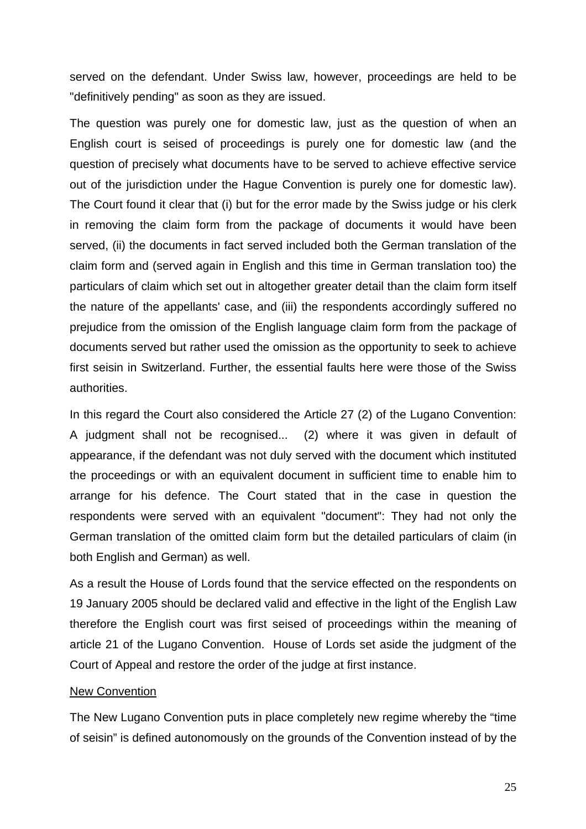served on the defendant. Under Swiss law, however, proceedings are held to be "definitively pending" as soon as they are issued.

The question was purely one for domestic law, just as the question of when an English court is seised of proceedings is purely one for domestic law (and the question of precisely what documents have to be served to achieve effective service out of the jurisdiction under the Hague Convention is purely one for domestic law). The Court found it clear that (i) but for the error made by the Swiss judge or his clerk in removing the claim form from the package of documents it would have been served, (ii) the documents in fact served included both the German translation of the claim form and (served again in English and this time in German translation too) the particulars of claim which set out in altogether greater detail than the claim form itself the nature of the appellants' case, and (iii) the respondents accordingly suffered no prejudice from the omission of the English language claim form from the package of documents served but rather used the omission as the opportunity to seek to achieve first seisin in Switzerland. Further, the essential faults here were those of the Swiss authorities.

In this regard the Court also considered the Article 27 (2) of the Lugano Convention: A judgment shall not be recognised... (2) where it was given in default of appearance, if the defendant was not duly served with the document which instituted the proceedings or with an equivalent document in sufficient time to enable him to arrange for his defence. The Court stated that in the case in question the respondents were served with an equivalent "document": They had not only the German translation of the omitted claim form but the detailed particulars of claim (in both English and German) as well.

As a result the House of Lords found that the service effected on the respondents on 19 January 2005 should be declared valid and effective in the light of the English Law therefore the English court was first seised of proceedings within the meaning of article 21 of the Lugano Convention. House of Lords set aside the judgment of the Court of Appeal and restore the order of the judge at first instance.

#### New Convention

The New Lugano Convention puts in place completely new regime whereby the "time of seisin" is defined autonomously on the grounds of the Convention instead of by the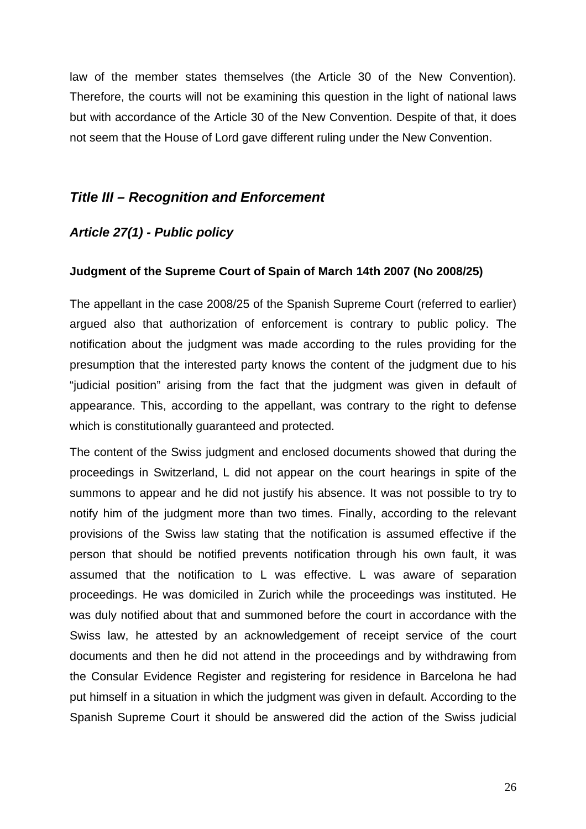law of the member states themselves (the Article 30 of the New Convention). Therefore, the courts will not be examining this question in the light of national laws but with accordance of the Article 30 of the New Convention. Despite of that, it does not seem that the House of Lord gave different ruling under the New Convention.

## *Title III – Recognition and Enforcement*

## *Article 27(1) - Public policy*

#### **Judgment of the Supreme Court of Spain of March 14th 2007 (No 2008/25)**

The appellant in the case 2008/25 of the Spanish Supreme Court (referred to earlier) argued also that authorization of enforcement is contrary to public policy. The notification about the judgment was made according to the rules providing for the presumption that the interested party knows the content of the judgment due to his "judicial position" arising from the fact that the judgment was given in default of appearance. This, according to the appellant, was contrary to the right to defense which is constitutionally guaranteed and protected.

The content of the Swiss judgment and enclosed documents showed that during the proceedings in Switzerland, L did not appear on the court hearings in spite of the summons to appear and he did not justify his absence. It was not possible to try to notify him of the judgment more than two times. Finally, according to the relevant provisions of the Swiss law stating that the notification is assumed effective if the person that should be notified prevents notification through his own fault, it was assumed that the notification to L was effective. L was aware of separation proceedings. He was domiciled in Zurich while the proceedings was instituted. He was duly notified about that and summoned before the court in accordance with the Swiss law, he attested by an acknowledgement of receipt service of the court documents and then he did not attend in the proceedings and by withdrawing from the Consular Evidence Register and registering for residence in Barcelona he had put himself in a situation in which the judgment was given in default. According to the Spanish Supreme Court it should be answered did the action of the Swiss judicial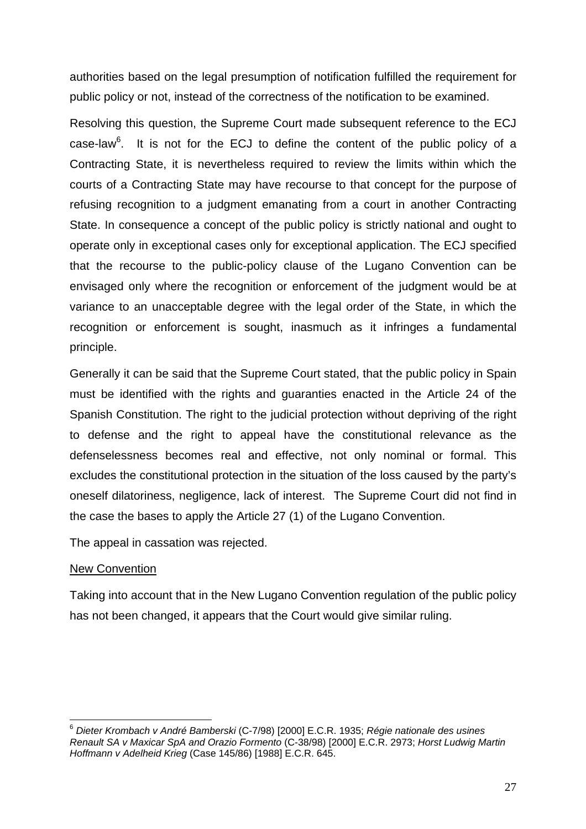authorities based on the legal presumption of notification fulfilled the requirement for public policy or not, instead of the correctness of the notification to be examined.

Resolving this question, the Supreme Court made subsequent reference to the ECJ case-law $6$ . It is not for the ECJ to define the content of the public policy of a Contracting State, it is nevertheless required to review the limits within which the courts of a Contracting State may have recourse to that concept for the purpose of refusing recognition to a judgment emanating from a court in another Contracting State. In consequence a concept of the public policy is strictly national and ought to operate only in exceptional cases only for exceptional application. The ECJ specified that the recourse to the public-policy clause of the Lugano Convention can be envisaged only where the recognition or enforcement of the judgment would be at variance to an unacceptable degree with the legal order of the State, in which the recognition or enforcement is sought, inasmuch as it infringes a fundamental principle.

Generally it can be said that the Supreme Court stated, that the public policy in Spain must be identified with the rights and guaranties enacted in the Article 24 of the Spanish Constitution. The right to the judicial protection without depriving of the right to defense and the right to appeal have the constitutional relevance as the defenselessness becomes real and effective, not only nominal or formal. This excludes the constitutional protection in the situation of the loss caused by the party's oneself dilatoriness, negligence, lack of interest. The Supreme Court did not find in the case the bases to apply the Article 27 (1) of the Lugano Convention.

The appeal in cassation was rejected.

## New Convention

1

Taking into account that in the New Lugano Convention regulation of the public policy has not been changed, it appears that the Court would give similar ruling.

<sup>6</sup> *Dieter Krombach v André Bamberski* (C-7/98) [2000] E.C.R. 1935; *Régie nationale des usines Renault SA v Maxicar SpA and Orazio Formento* (C-38/98) [2000] E.C.R. 2973; *Horst Ludwig Martin Hoffmann v Adelheid Krieg* (Case 145/86) [1988] E.C.R. 645.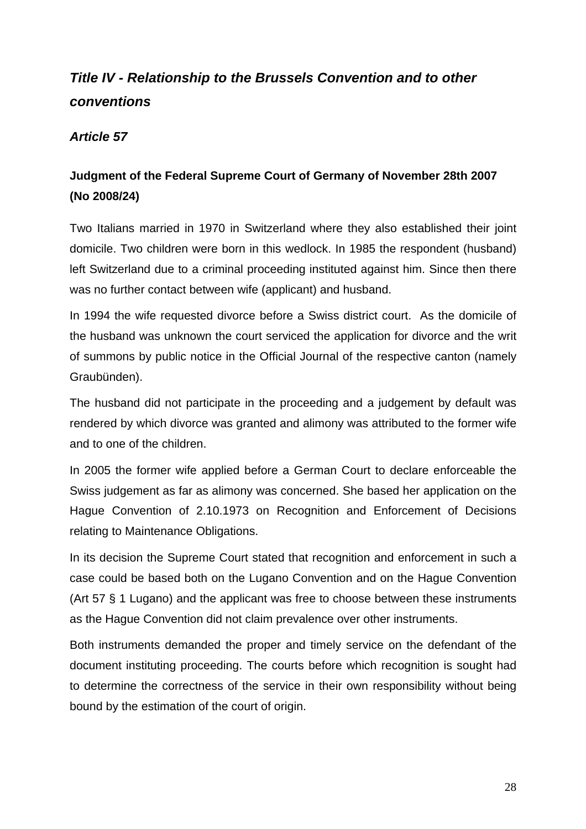# *Title IV - Relationship to the Brussels Convention and to other conventions*

## *Article 57*

# **Judgment of the Federal Supreme Court of Germany of November 28th 2007 (No 2008/24)**

Two Italians married in 1970 in Switzerland where they also established their joint domicile. Two children were born in this wedlock. In 1985 the respondent (husband) left Switzerland due to a criminal proceeding instituted against him. Since then there was no further contact between wife (applicant) and husband.

In 1994 the wife requested divorce before a Swiss district court. As the domicile of the husband was unknown the court serviced the application for divorce and the writ of summons by public notice in the Official Journal of the respective canton (namely Graubünden).

The husband did not participate in the proceeding and a judgement by default was rendered by which divorce was granted and alimony was attributed to the former wife and to one of the children.

In 2005 the former wife applied before a German Court to declare enforceable the Swiss judgement as far as alimony was concerned. She based her application on the Hague Convention of 2.10.1973 on Recognition and Enforcement of Decisions relating to Maintenance Obligations.

In its decision the Supreme Court stated that recognition and enforcement in such a case could be based both on the Lugano Convention and on the Hague Convention (Art 57 § 1 Lugano) and the applicant was free to choose between these instruments as the Hague Convention did not claim prevalence over other instruments.

Both instruments demanded the proper and timely service on the defendant of the document instituting proceeding. The courts before which recognition is sought had to determine the correctness of the service in their own responsibility without being bound by the estimation of the court of origin.